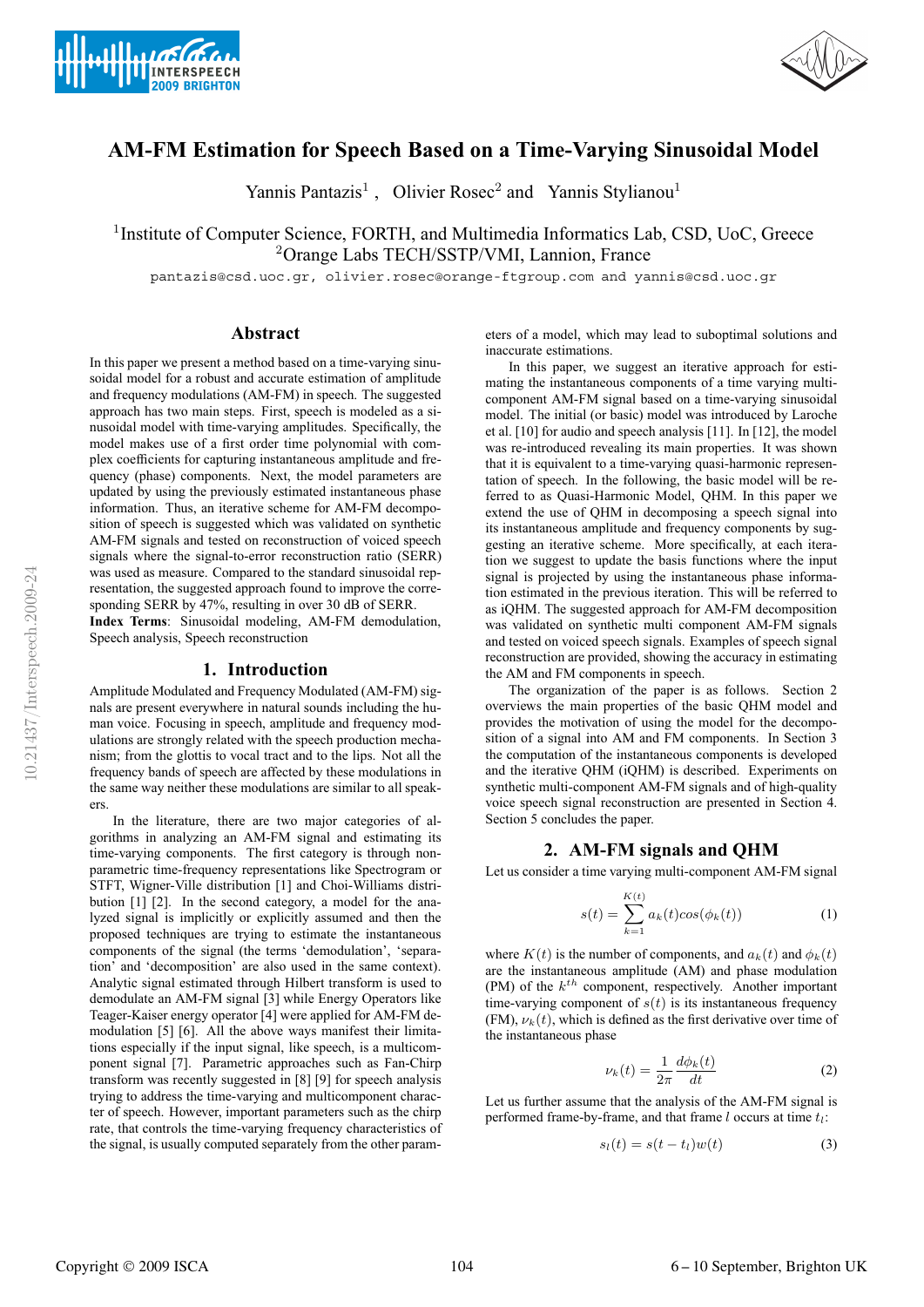



# **AM-FM Estimation for Speech Based on a Time-Varying Sinusoidal Model**

Yannis Pantazis<sup>1</sup>, Olivier Rosec<sup>2</sup> and Yannis Stylianou<sup>1</sup>

<sup>1</sup> Institute of Computer Science, FORTH, and Multimedia Informatics Lab, CSD, UoC, Greece <sup>2</sup>Orange Labs TECH/SSTP/VMI, Lannion, France

pantazis@csd.uoc.gr, olivier.rosec@orange-ftgroup.com and yannis@csd.uoc.gr

## **Abstract**

In this paper we present a method based on a time-varying sinusoidal model for a robust and accurate estimation of amplitude and frequency modulations (AM-FM) in speech. The suggested approach has two main steps. First, speech is modeled as a sinusoidal model with time-varying amplitudes. Specifically, the model makes use of a first order time polynomial with complex coefficients for capturing instantaneous amplitude and frequency (phase) components. Next, the model parameters are updated by using the previously estimated instantaneous phase information. Thus, an iterative scheme for AM-FM decomposition of speech is suggested which was validated on synthetic AM-FM signals and tested on reconstruction of voiced speech signals where the signal-to-error reconstruction ratio (SERR) was used as measure. Compared to the standard sinusoidal representation, the suggested approach found to improve the corresponding SERR by 47%, resulting in over 30 dB of SERR.

**Index Terms**: Sinusoidal modeling, AM-FM demodulation, Speech analysis, Speech reconstruction

### **1. Introduction**

Amplitude Modulated and Frequency Modulated (AM-FM) signals are present everywhere in natural sounds including the human voice. Focusing in speech, amplitude and frequency modulations are strongly related with the speech production mechanism; from the glottis to vocal tract and to the lips. Not all the frequency bands of speech are affected by these modulations in the same way neither these modulations are similar to all speakers.

In the literature, there are two major categories of algorithms in analyzing an AM-FM signal and estimating its time-varying components. The first category is through nonparametric time-frequency representations like Spectrogram or STFT, Wigner-Ville distribution [1] and Choi-Williams distribution [1] [2]. In the second category, a model for the analyzed signal is implicitly or explicitly assumed and then the proposed techniques are trying to estimate the instantaneous components of the signal (the terms 'demodulation', 'separation' and 'decomposition' are also used in the same context). Analytic signal estimated through Hilbert transform is used to demodulate an AM-FM signal [3] while Energy Operators like Teager-Kaiser energy operator [4] were applied for AM-FM demodulation [5] [6]. All the above ways manifest their limitations especially if the input signal, like speech, is a multicomponent signal [7]. Parametric approaches such as Fan-Chirp transform was recently suggested in [8] [9] for speech analysis trying to address the time-varying and multicomponent character of speech. However, important parameters such as the chirp rate, that controls the time-varying frequency characteristics of the signal, is usually computed separately from the other parameters of a model, which may lead to suboptimal solutions and inaccurate estimations.

In this paper, we suggest an iterative approach for estimating the instantaneous components of a time varying multicomponent AM-FM signal based on a time-varying sinusoidal model. The initial (or basic) model was introduced by Laroche et al. [10] for audio and speech analysis [11]. In [12], the model was re-introduced revealing its main properties. It was shown that it is equivalent to a time-varying quasi-harmonic representation of speech. In the following, the basic model will be referred to as Quasi-Harmonic Model, QHM. In this paper we extend the use of QHM in decomposing a speech signal into its instantaneous amplitude and frequency components by suggesting an iterative scheme. More specifically, at each iteration we suggest to update the basis functions where the input signal is projected by using the instantaneous phase information estimated in the previous iteration. This will be referred to as iQHM. The suggested approach for AM-FM decomposition was validated on synthetic multi component AM-FM signals and tested on voiced speech signals. Examples of speech signal reconstruction are provided, showing the accuracy in estimating the AM and FM components in speech.

The organization of the paper is as follows. Section 2 overviews the main properties of the basic QHM model and provides the motivation of using the model for the decomposition of a signal into AM and FM components. In Section 3 the computation of the instantaneous components is developed and the iterative QHM (iQHM) is described. Experiments on synthetic multi-component AM-FM signals and of high-quality voice speech signal reconstruction are presented in Section 4. Section 5 concludes the paper.

### **2. AM-FM signals and QHM**

Let us consider a time varying multi-component AM-FM signal

$$
s(t) = \sum_{k=1}^{K(t)} a_k(t) \cos(\phi_k(t))
$$
 (1)

where  $K(t)$  is the number of components, and  $a_k(t)$  and  $\phi_k(t)$ are the instantaneous amplitude (AM) and phase modulation (PM) of the  $k^{th}$  component, respectively. Another important time-varying component of  $s(t)$  is its instantaneous frequency (FM),  $\nu_k(t)$ , which is defined as the first derivative over time of the instantaneous phase

$$
\nu_k(t) = \frac{1}{2\pi} \frac{d\phi_k(t)}{dt} \tag{2}
$$

Let us further assume that the analysis of the AM-FM signal is performed frame-by-frame, and that frame  $l$  occurs at time  $t_l$ :

$$
s_l(t) = s(t - t_l)w(t)
$$
\n(3)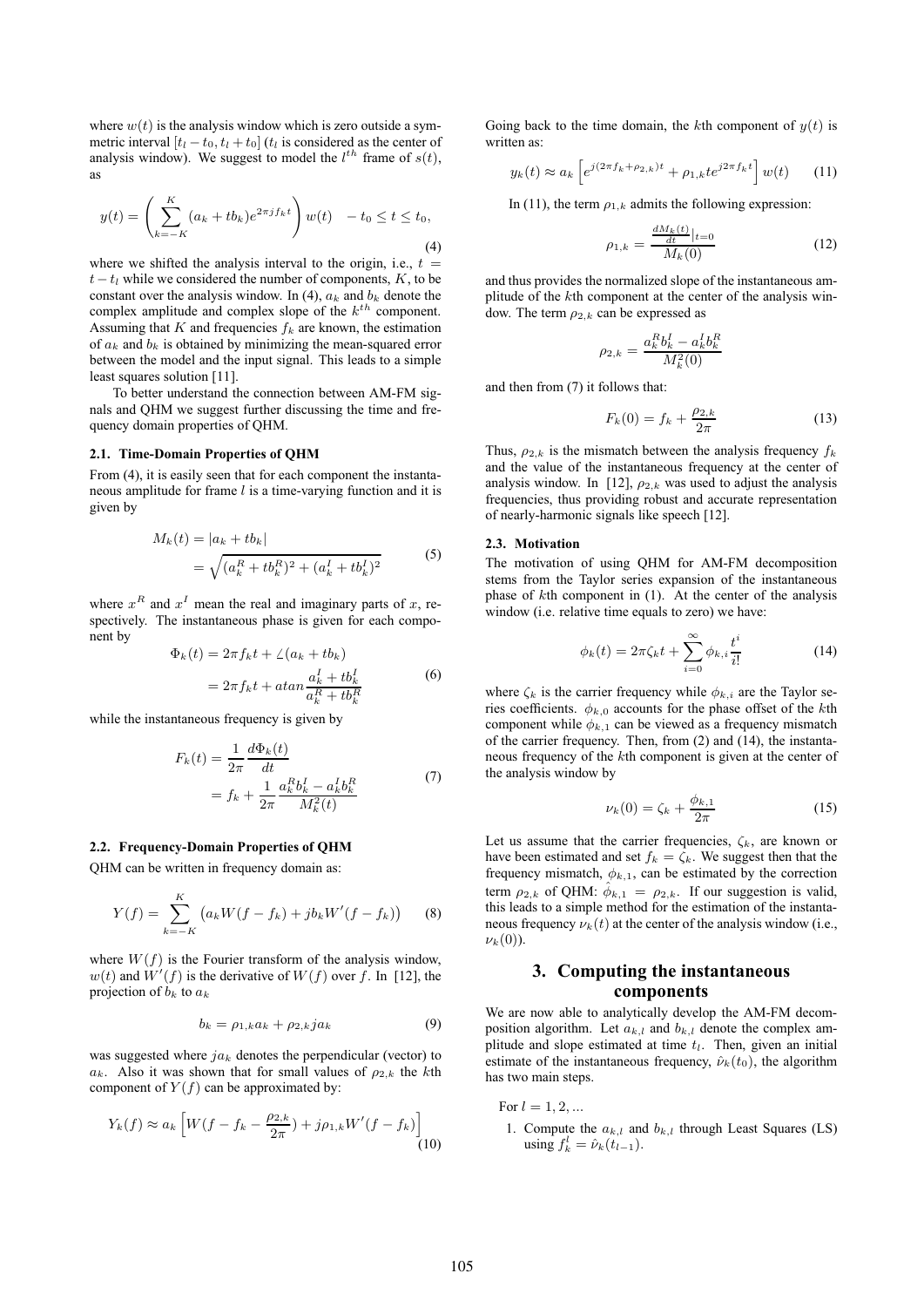where  $w(t)$  is the analysis window which is zero outside a symmetric interval  $[t_l - t_0, t_l + t_0]$  ( $t_l$  is considered as the center of analysis window). We suggest to model the  $l^{th}$  frame of  $s(t)$ , as

$$
y(t) = \left(\sum_{k=-K}^{K} (a_k + tb_k)e^{2\pi jf_k t}\right)w(t) - t_0 \le t \le t_0,
$$
\n(4)

where we shifted the analysis interval to the origin, i.e.,  $t =$  $t-t_l$  while we considered the number of components, K, to be constant over the analysis window. In (4),  $a_k$  and  $b_k$  denote the complex amplitude and complex slope of the  $k^{th}$  component. Assuming that  $K$  and frequencies  $f_k$  are known, the estimation of  $a_k$  and  $b_k$  is obtained by minimizing the mean-squared error between the model and the input signal. This leads to a simple least squares solution [11].

To better understand the connection between AM-FM signals and QHM we suggest further discussing the time and frequency domain properties of QHM.

#### **2.1. Time-Domain Properties of QHM**

From (4), it is easily seen that for each component the instantaneous amplitude for frame  $l$  is a time-varying function and it is given by

$$
M_k(t) = |a_k + tb_k|
$$
  
=  $\sqrt{(a_k^R + tb_k^R)^2 + (a_k^I + tb_k^I)^2}$  (5)

where  $x^R$  and  $x^I$  mean the real and imaginary parts of x, respectively. The instantaneous phase is given for each component by

$$
\Phi_k(t) = 2\pi f_k t + \angle (a_k + tb_k)
$$
  
= 
$$
2\pi f_k t + \alpha t \alpha n \frac{a_k^I + tb_k^I}{a_k^R + tb_k^R}
$$
 (6)

while the instantaneous frequency is given by

$$
F_k(t) = \frac{1}{2\pi} \frac{d\Phi_k(t)}{dt}
$$
  
=  $f_k + \frac{1}{2\pi} \frac{a_k^R b_k^I - a_k^I b_k^R}{M_k^2(t)}$  (7)

#### **2.2. Frequency-Domain Properties of QHM**

QHM can be written in frequency domain as:

$$
Y(f) = \sum_{k=-K}^{K} (a_k W(f - f_k) + jb_k W'(f - f_k))
$$
 (8)

where  $W(f)$  is the Fourier transform of the analysis window,  $w(t)$  and  $W'(f)$  is the derivative of  $W(f)$  over f. In [12], the projection of  $b_k$  to  $a_k$ 

$$
b_k = \rho_{1,k} a_k + \rho_{2,k} j a_k \tag{9}
$$

was suggested where  $ja_k$  denotes the perpendicular (vector) to  $a_k$ . Also it was shown that for small values of  $\rho_{2,k}$  the kth component of  $Y(f)$  can be approximated by:

$$
Y_k(f) \approx a_k \left[ W(f - f_k - \frac{\rho_{2,k}}{2\pi}) + j\rho_{1,k} W'(f - f_k) \right]
$$
(10)

Going back to the time domain, the kth component of  $y(t)$  is written as:

$$
y_k(t) \approx a_k \left[ e^{j(2\pi f_k + \rho_{2,k})t} + \rho_{1,k} t e^{j2\pi f_k t} \right] w(t) \tag{11}
$$

In (11), the term  $\rho_{1,k}$  admits the following expression:

$$
\rho_{1,k} = \frac{\frac{dM_k(t)}{dt}|_{t=0}}{M_k(0)}\tag{12}
$$

and thus provides the normalized slope of the instantaneous amplitude of the kth component at the center of the analysis window. The term  $\rho_{2,k}$  can be expressed as

$$
\rho_{2,k} = \frac{a_k^R b_k^I - a_k^I b_k^R}{M_k^2(0)}
$$

and then from (7) it follows that:

$$
F_k(0) = f_k + \frac{\rho_{2,k}}{2\pi}
$$
 (13)

Thus,  $\rho_{2,k}$  is the mismatch between the analysis frequency  $f_k$ and the value of the instantaneous frequency at the center of analysis window. In [12],  $\rho_{2,k}$  was used to adjust the analysis frequencies, thus providing robust and accurate representation of nearly-harmonic signals like speech [12].

### **2.3. Motivation**

The motivation of using QHM for AM-FM decomposition stems from the Taylor series expansion of the instantaneous phase of kth component in (1). At the center of the analysis window (i.e. relative time equals to zero) we have:

$$
\phi_k(t) = 2\pi \zeta_k t + \sum_{i=0}^{\infty} \phi_{k,i} \frac{t^i}{i!}
$$
 (14)

where  $\zeta_k$  is the carrier frequency while  $\phi_{k,i}$  are the Taylor series coefficients.  $\phi_{k,0}$  accounts for the phase offset of the kth component while  $\phi_{k,1}$  can be viewed as a frequency mismatch of the carrier frequency. Then, from (2) and (14), the instantaneous frequency of the kth component is given at the center of the analysis window by

$$
\nu_k(0) = \zeta_k + \frac{\phi_{k,1}}{2\pi} \tag{15}
$$

Let us assume that the carrier frequencies,  $\zeta_k$ , are known or have been estimated and set  $f_k = \zeta_k$ . We suggest then that the frequency mismatch,  $\phi_{k,1}$ , can be estimated by the correction term  $\rho_{2,k}$  of QHM:  $\hat{\phi}_{k,1} = \rho_{2,k}$ . If our suggestion is valid, this leads to a simple method for the estimation of the instantaneous frequency  $\nu_k(t)$  at the center of the analysis window (i.e.,  $\nu_k(0)$ ).

# **3. Computing the instantaneous components**

We are now able to analytically develop the AM-FM decomposition algorithm. Let  $a_{k,l}$  and  $b_{k,l}$  denote the complex amplitude and slope estimated at time  $t<sub>l</sub>$ . Then, given an initial estimate of the instantaneous frequency,  $\hat{\nu}_k(t_0)$ , the algorithm has two main steps.

For  $l = 1, 2, ...$ 

1. Compute the  $a_{k,l}$  and  $b_{k,l}$  through Least Squares (LS) using  $f_k^l = \hat{\nu}_k(t_{l-1}).$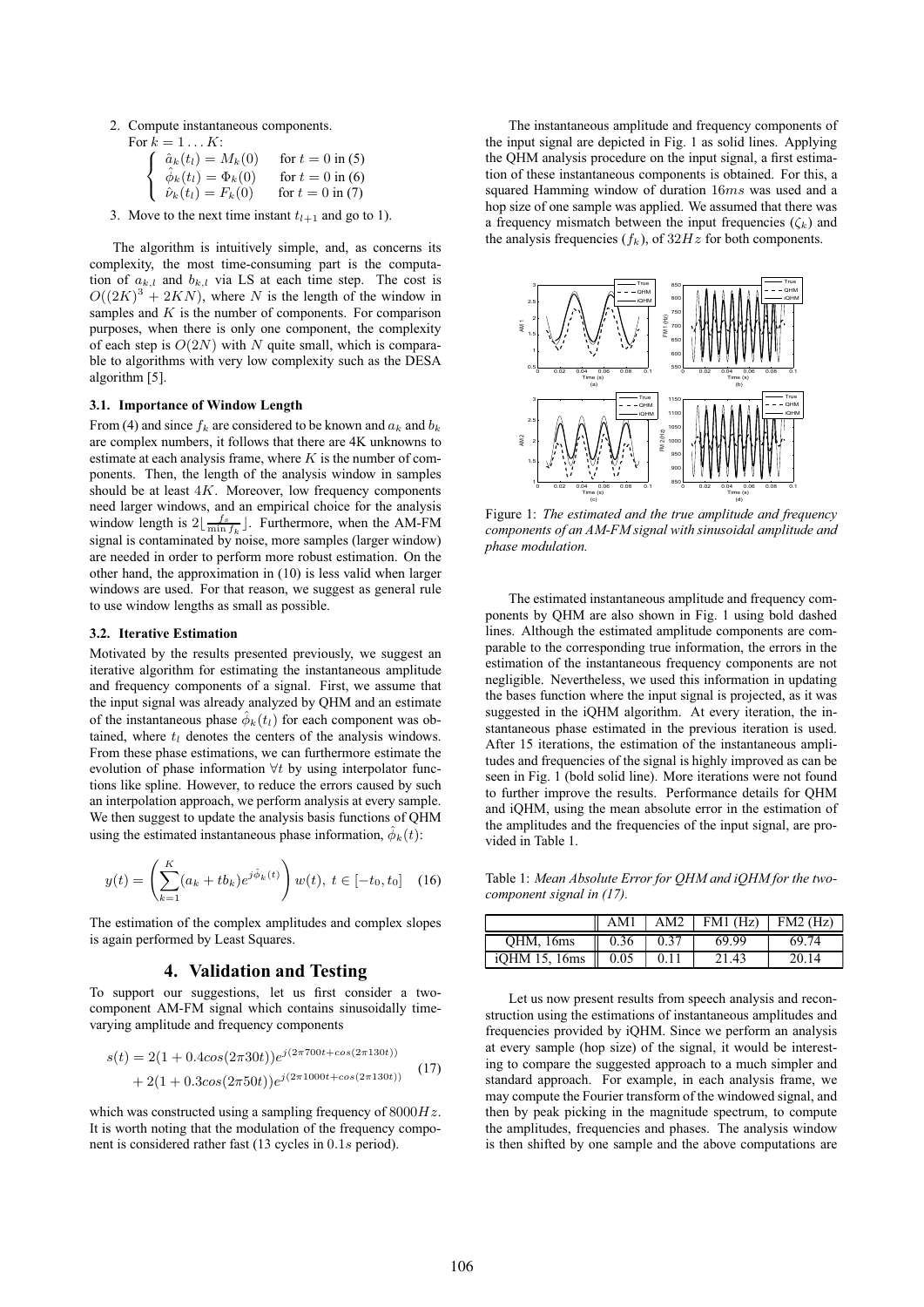2. Compute instantaneous components.

| For $k = 1 \dots K$ :                                          |                    |
|----------------------------------------------------------------|--------------------|
| $\hat{a}_k(t_l) = M_k(0)$                                      | for $t = 0$ in (5) |
| $\hat{\phi}_k(t_l) = \Phi_k(0)$<br>$\hat{\nu}_k(t_l) = F_k(0)$ | for $t = 0$ in (6) |
|                                                                | for $t = 0$ in (7) |

3. Move to the next time instant  $t_{l+1}$  and go to 1).

The algorithm is intuitively simple, and, as concerns its complexity, the most time-consuming part is the computation of  $a_{k,l}$  and  $b_{k,l}$  via LS at each time step. The cost is  $O((2K)^3 + 2KN)$ , where N is the length of the window in samples and  $K$  is the number of components. For comparison purposes, when there is only one component, the complexity of each step is  $O(2N)$  with N quite small, which is comparable to algorithms with very low complexity such as the DESA algorithm [5].

### **3.1. Importance of Window Length**

From (4) and since  $f_k$  are considered to be known and  $a_k$  and  $b_k$ are complex numbers, it follows that there are 4K unknowns to estimate at each analysis frame, where  $K$  is the number of components. Then, the length of the analysis window in samples should be at least  $4K$ . Moreover, low frequency components need larger windows, and an empirical choice for the analysis window length is  $2\left\lfloor \frac{f_s}{\min f_k} \right\rfloor$ . Furthermore, when the AM-FM signal is contaminated by noise, more samples (larger window) are needed in order to perform more robust estimation. On the other hand, the approximation in (10) is less valid when larger windows are used. For that reason, we suggest as general rule to use window lengths as small as possible.

#### **3.2. Iterative Estimation**

Motivated by the results presented previously, we suggest an iterative algorithm for estimating the instantaneous amplitude and frequency components of a signal. First, we assume that the input signal was already analyzed by QHM and an estimate of the instantaneous phase  $\hat{\phi}_k(t_l)$  for each component was obtained, where  $t_l$  denotes the centers of the analysis windows. From these phase estimations, we can furthermore estimate the evolution of phase information ∀t by using interpolator functions like spline. However, to reduce the errors caused by such an interpolation approach, we perform analysis at every sample. We then suggest to update the analysis basis functions of QHM using the estimated instantaneous phase information,  $\phi_k(t)$ :

$$
y(t) = \left(\sum_{k=1}^{K} (a_k + tb_k)e^{j\hat{\phi}_k(t)}\right)w(t), \ t \in [-t_0, t_0] \quad (16)
$$

The estimation of the complex amplitudes and complex slopes is again performed by Least Squares.

### **4. Validation and Testing**

To support our suggestions, let us first consider a twocomponent AM-FM signal which contains sinusoidally timevarying amplitude and frequency components

$$
s(t) = 2(1 + 0.4\cos(2\pi 30t))e^{j(2\pi 700t + \cos(2\pi 130t))}
$$
  
+ 2(1 + 0.3\cos(2\pi 50t))e^{j(2\pi 1000t + \cos(2\pi 130t))}(17)

which was constructed using a sampling frequency of  $8000Hz$ . It is worth noting that the modulation of the frequency component is considered rather fast (13 cycles in 0.1s period).

The instantaneous amplitude and frequency components of the input signal are depicted in Fig. 1 as solid lines. Applying the QHM analysis procedure on the input signal, a first estimation of these instantaneous components is obtained. For this, a squared Hamming window of duration 16ms was used and a hop size of one sample was applied. We assumed that there was a frequency mismatch between the input frequencies  $(\zeta_k)$  and the analysis frequencies  $(f_k)$ , of  $32Hz$  for both components.



Figure 1: *The estimated and the true amplitude and frequency components of an AM-FM signal with sinusoidal amplitude and phase modulation.*

The estimated instantaneous amplitude and frequency components by QHM are also shown in Fig. 1 using bold dashed lines. Although the estimated amplitude components are comparable to the corresponding true information, the errors in the estimation of the instantaneous frequency components are not negligible. Nevertheless, we used this information in updating the bases function where the input signal is projected, as it was suggested in the iQHM algorithm. At every iteration, the instantaneous phase estimated in the previous iteration is used. After 15 iterations, the estimation of the instantaneous amplitudes and frequencies of the signal is highly improved as can be seen in Fig. 1 (bold solid line). More iterations were not found to further improve the results. Performance details for QHM and iQHM, using the mean absolute error in the estimation of the amplitudes and the frequencies of the input signal, are provided in Table 1.

Table 1: *Mean Absolute Error for QHM and iQHM for the twocomponent signal in (17).*

|               | AM1              | AM2  | $FM1$ (Hz) FM2 (Hz) |       |
|---------------|------------------|------|---------------------|-------|
| OHM, 16ms     | $\parallel$ 0.36 | 0.37 | 69.99               | 69.74 |
| iOHM 15, 16ms | $\parallel$ 0.05 | 0.11 | 21.43               | 20.14 |

Let us now present results from speech analysis and reconstruction using the estimations of instantaneous amplitudes and frequencies provided by iQHM. Since we perform an analysis at every sample (hop size) of the signal, it would be interesting to compare the suggested approach to a much simpler and standard approach. For example, in each analysis frame, we may compute the Fourier transform of the windowed signal, and then by peak picking in the magnitude spectrum, to compute the amplitudes, frequencies and phases. The analysis window is then shifted by one sample and the above computations are